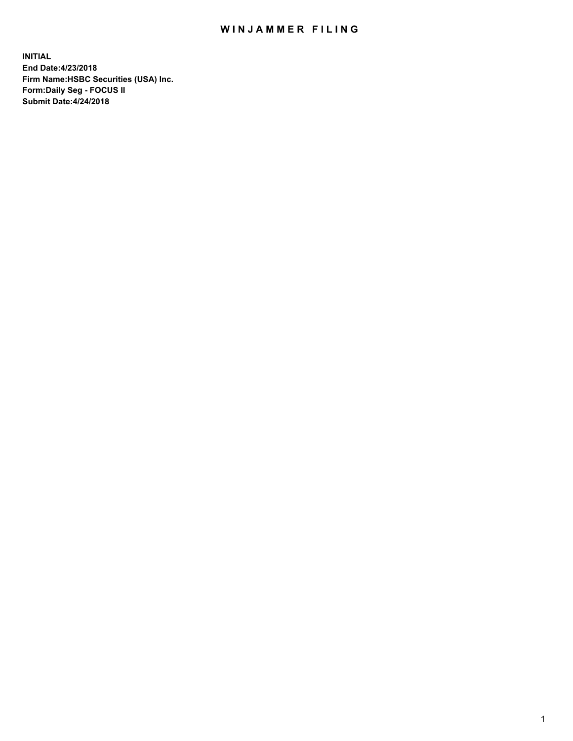## WIN JAMMER FILING

**INITIAL End Date:4/23/2018 Firm Name:HSBC Securities (USA) Inc. Form:Daily Seg - FOCUS II Submit Date:4/24/2018**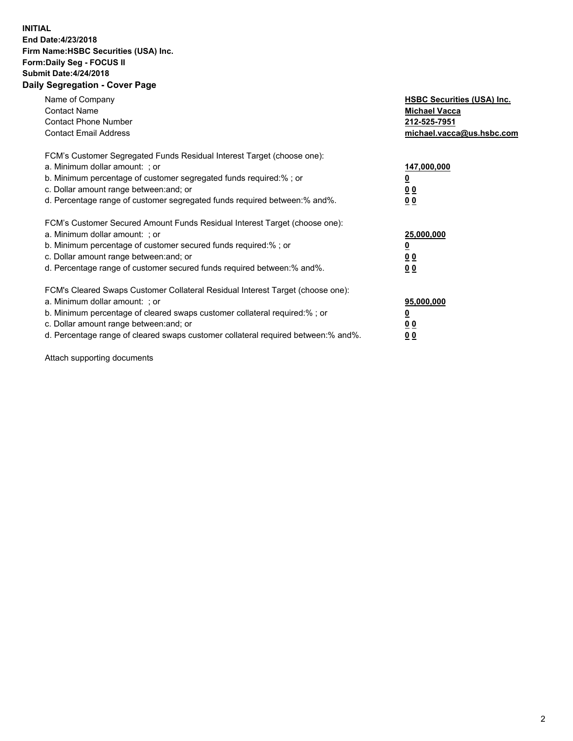## **INITIAL End Date:4/23/2018 Firm Name:HSBC Securities (USA) Inc. Form:Daily Seg - FOCUS II Submit Date:4/24/2018 Daily Segregation - Cover Page**

| Name of Company<br><b>Contact Name</b><br><b>Contact Phone Number</b><br><b>Contact Email Address</b>                                                                                                                                                                                                                         | <b>HSBC Securities (USA) Inc.</b><br><b>Michael Vacca</b><br>212-525-7951<br>michael.vacca@us.hsbc.com |
|-------------------------------------------------------------------------------------------------------------------------------------------------------------------------------------------------------------------------------------------------------------------------------------------------------------------------------|--------------------------------------------------------------------------------------------------------|
| FCM's Customer Segregated Funds Residual Interest Target (choose one):<br>a. Minimum dollar amount: ; or<br>b. Minimum percentage of customer segregated funds required:% ; or<br>c. Dollar amount range between: and; or<br>d. Percentage range of customer segregated funds required between: % and %.                      | 147,000,000<br><u>0</u><br><u>00</u><br>0 <sub>0</sub>                                                 |
| FCM's Customer Secured Amount Funds Residual Interest Target (choose one):<br>a. Minimum dollar amount: ; or<br>b. Minimum percentage of customer secured funds required:%; or<br>c. Dollar amount range between: and; or<br>d. Percentage range of customer secured funds required between: % and %.                         | 25,000,000<br><u>0</u><br><u>00</u><br>00                                                              |
| FCM's Cleared Swaps Customer Collateral Residual Interest Target (choose one):<br>a. Minimum dollar amount: ; or<br>b. Minimum percentage of cleared swaps customer collateral required:%; or<br>c. Dollar amount range between: and; or<br>d. Percentage range of cleared swaps customer collateral required between:% and%. | 95,000,000<br><u>0</u><br>0 <sub>0</sub><br>0 <sub>0</sub>                                             |

Attach supporting documents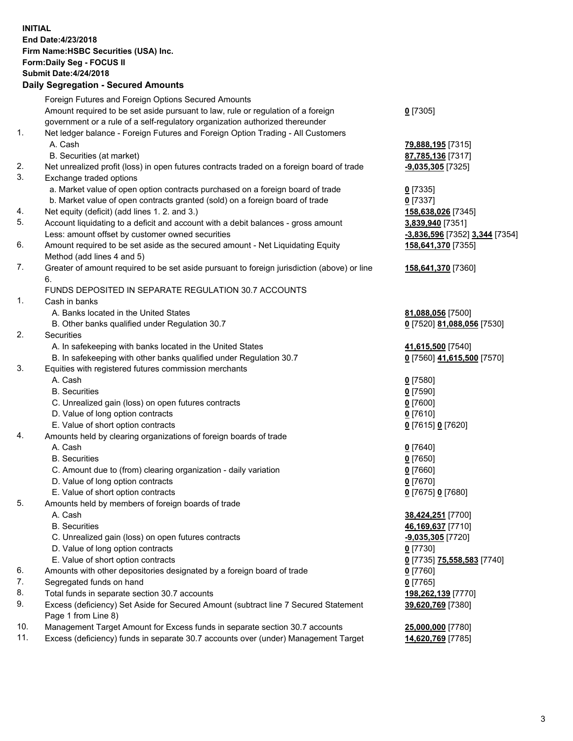**INITIAL End Date:4/23/2018 Firm Name:HSBC Securities (USA) Inc. Form:Daily Seg - FOCUS II Submit Date:4/24/2018 Daily Segregation - Secured Amounts**

|     | Foreign Futures and Foreign Options Secured Amounts                                         |                                |
|-----|---------------------------------------------------------------------------------------------|--------------------------------|
|     | Amount required to be set aside pursuant to law, rule or regulation of a foreign            | $0$ [7305]                     |
|     | government or a rule of a self-regulatory organization authorized thereunder                |                                |
| 1.  | Net ledger balance - Foreign Futures and Foreign Option Trading - All Customers             |                                |
|     | A. Cash                                                                                     | 79,888,195 [7315]              |
|     | B. Securities (at market)                                                                   | 87,785,136 [7317]              |
| 2.  | Net unrealized profit (loss) in open futures contracts traded on a foreign board of trade   | $-9,035,305$ [7325]            |
| 3.  | Exchange traded options                                                                     |                                |
|     | a. Market value of open option contracts purchased on a foreign board of trade              | $0$ [7335]                     |
|     | b. Market value of open contracts granted (sold) on a foreign board of trade                | $0$ [7337]                     |
| 4.  | Net equity (deficit) (add lines 1.2. and 3.)                                                | 158,638,026 [7345]             |
| 5.  | Account liquidating to a deficit and account with a debit balances - gross amount           | 3,839,940 [7351]               |
|     | Less: amount offset by customer owned securities                                            | -3,836,596 [7352] 3,344 [7354] |
| 6.  | Amount required to be set aside as the secured amount - Net Liquidating Equity              | 158,641,370 [7355]             |
|     | Method (add lines 4 and 5)                                                                  |                                |
| 7.  | Greater of amount required to be set aside pursuant to foreign jurisdiction (above) or line |                                |
|     | 6.                                                                                          | 158,641,370 [7360]             |
|     |                                                                                             |                                |
| 1.  | FUNDS DEPOSITED IN SEPARATE REGULATION 30.7 ACCOUNTS                                        |                                |
|     | Cash in banks                                                                               |                                |
|     | A. Banks located in the United States                                                       | 81,088,056 [7500]              |
|     | B. Other banks qualified under Regulation 30.7                                              | 0 [7520] 81,088,056 [7530]     |
| 2.  | Securities                                                                                  |                                |
|     | A. In safekeeping with banks located in the United States                                   | 41,615,500 [7540]              |
|     | B. In safekeeping with other banks qualified under Regulation 30.7                          | 0 [7560] 41,615,500 [7570]     |
| 3.  | Equities with registered futures commission merchants                                       |                                |
|     | A. Cash                                                                                     | $0$ [7580]                     |
|     | <b>B.</b> Securities                                                                        | $0$ [7590]                     |
|     | C. Unrealized gain (loss) on open futures contracts                                         | $0$ [7600]                     |
|     | D. Value of long option contracts                                                           | $0$ [7610]                     |
|     | E. Value of short option contracts                                                          | 0 [7615] 0 [7620]              |
| 4.  | Amounts held by clearing organizations of foreign boards of trade                           |                                |
|     | A. Cash                                                                                     | $0$ [7640]                     |
|     | <b>B.</b> Securities                                                                        | $0$ [7650]                     |
|     | C. Amount due to (from) clearing organization - daily variation                             | $0$ [7660]                     |
|     | D. Value of long option contracts                                                           | $0$ [7670]                     |
|     | E. Value of short option contracts                                                          | 0 [7675] 0 [7680]              |
| 5.  | Amounts held by members of foreign boards of trade                                          |                                |
|     | A. Cash                                                                                     | 38,424,251 [7700]              |
|     | <b>B.</b> Securities                                                                        | 46,169,637 [7710]              |
|     | C. Unrealized gain (loss) on open futures contracts                                         | $-9,035,305$ [7720]            |
|     | D. Value of long option contracts                                                           | $0$ [7730]                     |
|     | E. Value of short option contracts                                                          | 0 [7735] 75,558,583 [7740]     |
| 6.  | Amounts with other depositories designated by a foreign board of trade                      | $0$ [7760]                     |
| 7.  | Segregated funds on hand                                                                    | $0$ [7765]                     |
| 8.  | Total funds in separate section 30.7 accounts                                               | 198,262,139 [7770]             |
| 9.  | Excess (deficiency) Set Aside for Secured Amount (subtract line 7 Secured Statement         | 39,620,769 [7380]              |
|     | Page 1 from Line 8)                                                                         |                                |
| 10. | Management Target Amount for Excess funds in separate section 30.7 accounts                 | 25,000,000 [7780]              |
| 11. | Excess (deficiency) funds in separate 30.7 accounts over (under) Management Target          | 14,620,769 [7785]              |
|     |                                                                                             |                                |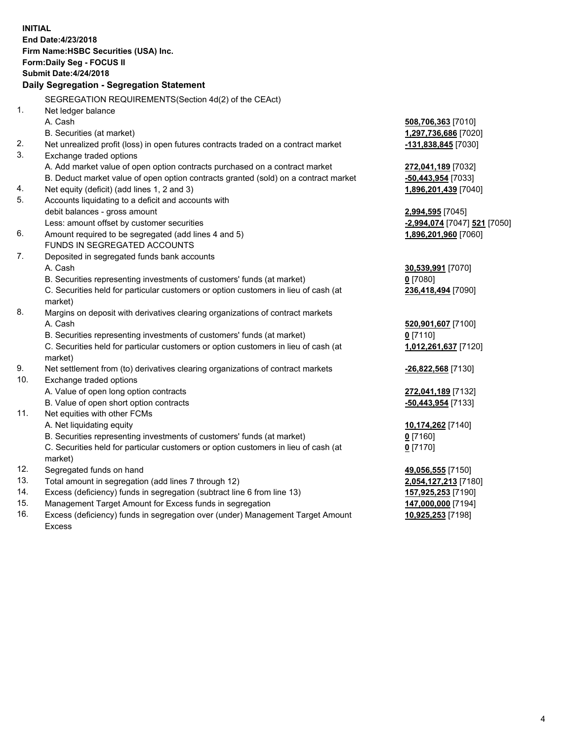**INITIAL End Date:4/23/2018 Firm Name:HSBC Securities (USA) Inc. Form:Daily Seg - FOCUS II Submit Date:4/24/2018 Daily Segregation - Segregation Statement** SEGREGATION REQUIREMENTS(Section 4d(2) of the CEAct) 1. Net ledger balance A. Cash **508,706,363** [7010] B. Securities (at market) **1,297,736,686** [7020] 2. Net unrealized profit (loss) in open futures contracts traded on a contract market **-131,838,845** [7030] 3. Exchange traded options A. Add market value of open option contracts purchased on a contract market **272,041,189** [7032] B. Deduct market value of open option contracts granted (sold) on a contract market **-50,443,954** [7033] 4. Net equity (deficit) (add lines 1, 2 and 3) **1,896,201,439** [7040] 5. Accounts liquidating to a deficit and accounts with debit balances - gross amount **2,994,595** [7045] Less: amount offset by customer securities **and the securities -2,994,074** [7047] **521** [7050] 6. Amount required to be segregated (add lines 4 and 5) **1,896,201,960** [7060] FUNDS IN SEGREGATED ACCOUNTS 7. Deposited in segregated funds bank accounts A. Cash **30,539,991** [7070] B. Securities representing investments of customers' funds (at market) **0** [7080] C. Securities held for particular customers or option customers in lieu of cash (at market) **236,418,494** [7090] 8. Margins on deposit with derivatives clearing organizations of contract markets A. Cash **520,901,607** [7100] B. Securities representing investments of customers' funds (at market) **0** [7110] C. Securities held for particular customers or option customers in lieu of cash (at market) **1,012,261,637** [7120] 9. Net settlement from (to) derivatives clearing organizations of contract markets **-26,822,568** [7130] 10. Exchange traded options A. Value of open long option contracts **272,041,189** [7132] B. Value of open short option contracts **-50,443,954** [7133] 11. Net equities with other FCMs A. Net liquidating equity **10,174,262** [7140] B. Securities representing investments of customers' funds (at market) **0** [7160] C. Securities held for particular customers or option customers in lieu of cash (at market) **0** [7170] 12. Segregated funds on hand **49,056,555** [7150] 13. Total amount in segregation (add lines 7 through 12) **2,054,127,213** [7180] 14. Excess (deficiency) funds in segregation (subtract line 6 from line 13) **157,925,253** [7190]

- 15. Management Target Amount for Excess funds in segregation **147,000,000** [7194]
- 16. Excess (deficiency) funds in segregation over (under) Management Target Amount Excess

**10,925,253** [7198]